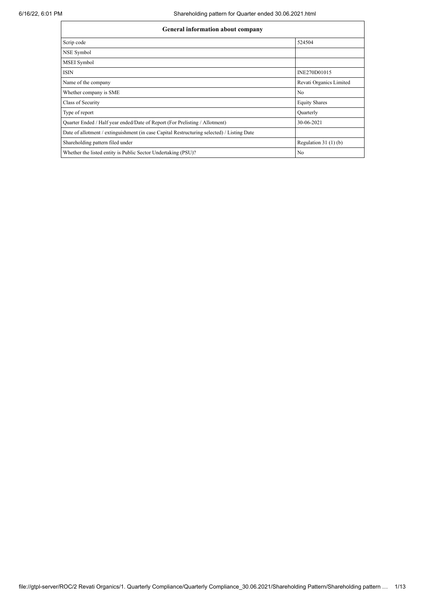| <b>General information about company</b>                                                   |                         |  |  |  |  |
|--------------------------------------------------------------------------------------------|-------------------------|--|--|--|--|
| Scrip code                                                                                 | 524504                  |  |  |  |  |
| NSE Symbol                                                                                 |                         |  |  |  |  |
| MSEI Symbol                                                                                |                         |  |  |  |  |
| <b>ISIN</b>                                                                                | INE270D01015            |  |  |  |  |
| Name of the company                                                                        | Revati Organics Limited |  |  |  |  |
| Whether company is SME                                                                     | No                      |  |  |  |  |
| Class of Security                                                                          | <b>Equity Shares</b>    |  |  |  |  |
| Type of report                                                                             | Quarterly               |  |  |  |  |
| Quarter Ended / Half year ended/Date of Report (For Prelisting / Allotment)                | 30-06-2021              |  |  |  |  |
| Date of allotment / extinguishment (in case Capital Restructuring selected) / Listing Date |                         |  |  |  |  |
| Shareholding pattern filed under                                                           | Regulation $31(1)(b)$   |  |  |  |  |
| Whether the listed entity is Public Sector Undertaking (PSU)?                              | No                      |  |  |  |  |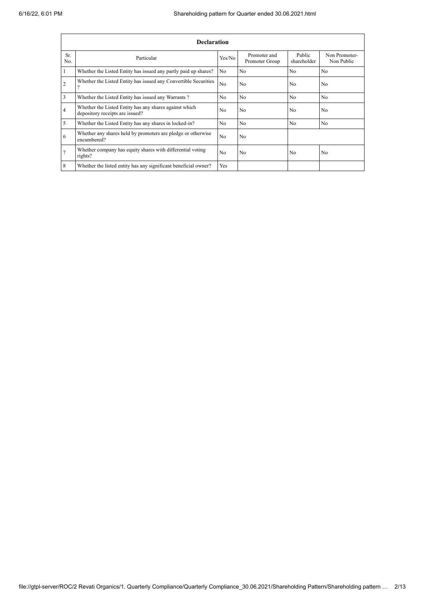|                | <b>Declaration</b>                                                                        |                |                                |                       |                             |
|----------------|-------------------------------------------------------------------------------------------|----------------|--------------------------------|-----------------------|-----------------------------|
| Sr.<br>No.     | Particular                                                                                | Yes/No         | Promoter and<br>Promoter Group | Public<br>shareholder | Non Promoter-<br>Non Public |
|                | Whether the Listed Entity has issued any partly paid up shares?                           | No             | N <sub>0</sub>                 | N <sub>0</sub>        | N <sub>0</sub>              |
| 2              | Whether the Listed Entity has issued any Convertible Securities                           | N <sub>o</sub> | No                             | N <sub>0</sub>        | No                          |
| 3              | Whether the Listed Entity has issued any Warrants?                                        | N <sub>0</sub> | N <sub>0</sub>                 | N <sub>0</sub>        | N <sub>0</sub>              |
| $\overline{4}$ | Whether the Listed Entity has any shares against which<br>depository receipts are issued? |                | N <sub>o</sub>                 | N <sub>0</sub>        | N <sub>0</sub>              |
| 5              | Whether the Listed Entity has any shares in locked-in?                                    | N <sub>0</sub> | N <sub>0</sub>                 | No                    | N <sub>0</sub>              |
| 6              | Whether any shares held by promoters are pledge or otherwise<br>encumbered?               | N <sub>o</sub> | N <sub>o</sub>                 |                       |                             |
|                | Whether company has equity shares with differential voting<br>rights?                     | N <sub>0</sub> | N <sub>0</sub>                 | N <sub>0</sub>        | N <sub>0</sub>              |
| 8              | Whether the listed entity has any significant beneficial owner?                           | Yes            |                                |                       |                             |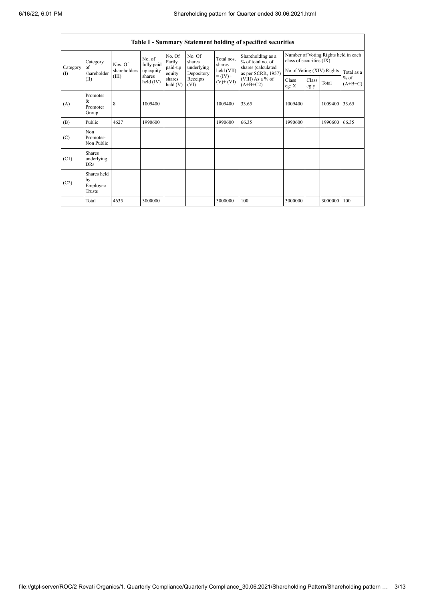|                          |                                           |              |                       |                    |                          |                                                                   | Table I - Summary Statement holding of specified securities                        |                                                                  |               |         |                     |
|--------------------------|-------------------------------------------|--------------|-----------------------|--------------------|--------------------------|-------------------------------------------------------------------|------------------------------------------------------------------------------------|------------------------------------------------------------------|---------------|---------|---------------------|
|                          | Category                                  | Nos. Of      | No. of<br>fully paid  | No. Of<br>Partly   | No. Of<br>shares         | Total nos.<br>shares<br>held (VII)<br>$= (IV) +$<br>$(V)$ + $(V)$ | Shareholding as a<br>% of total no. of<br>shares (calculated<br>as per SCRR, 1957) | Number of Voting Rights held in each<br>class of securities (IX) |               |         |                     |
| Category<br>$($ $\Gamma$ | of<br>shareholder                         | shareholders | up equity             | paid-up<br>equity  | underlying<br>Depository |                                                                   |                                                                                    | No of Voting (XIV) Rights                                        |               |         | Total as a          |
|                          | (II)                                      | (III)        | shares<br>held $(IV)$ | shares<br>held (V) | Receipts<br>(VI)         |                                                                   | (VIII) As a % of<br>$(A+B+C2)$                                                     | Class<br>eg: $X$                                                 | Class<br>eg:y | Total   | $%$ of<br>$(A+B+C)$ |
| (A)                      | Promoter<br>&<br>Promoter<br>Group        | 8            | 1009400               |                    |                          | 1009400                                                           | 33.65                                                                              | 1009400                                                          |               | 1009400 | 33.65               |
| (B)                      | Public                                    | 4627         | 1990600               |                    |                          | 1990600                                                           | 66.35                                                                              | 1990600                                                          |               | 1990600 | 66.35               |
| (C)                      | Non<br>Promoter-<br>Non Public            |              |                       |                    |                          |                                                                   |                                                                                    |                                                                  |               |         |                     |
| (C1)                     | <b>Shares</b><br>underlying<br><b>DRs</b> |              |                       |                    |                          |                                                                   |                                                                                    |                                                                  |               |         |                     |
| (C2)                     | Shares held<br>by<br>Employee<br>Trusts   |              |                       |                    |                          |                                                                   |                                                                                    |                                                                  |               |         |                     |
|                          | Total                                     | 4635         | 3000000               |                    |                          | 3000000                                                           | 100                                                                                | 3000000                                                          |               | 3000000 | 100                 |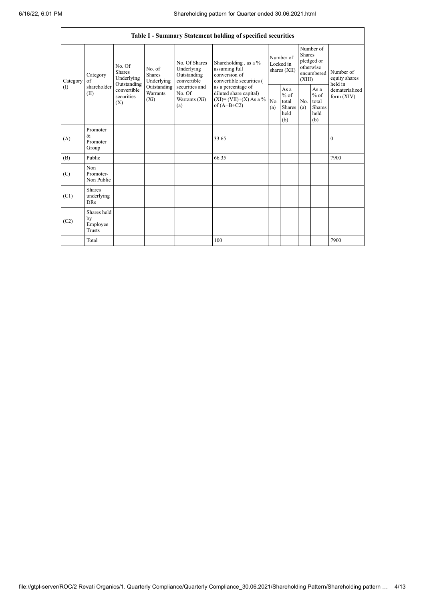|                     | Table I - Summary Statement holding of specified securities                                                                 |                                    |                                                  |                                                                                          |                                                                                    |                                                  |            |                                                                               |                                |                                       |
|---------------------|-----------------------------------------------------------------------------------------------------------------------------|------------------------------------|--------------------------------------------------|------------------------------------------------------------------------------------------|------------------------------------------------------------------------------------|--------------------------------------------------|------------|-------------------------------------------------------------------------------|--------------------------------|---------------------------------------|
| Category<br>of<br>( | No. Of<br><b>Shares</b><br>Category<br>Underlying<br>Outstanding<br>shareholder<br>convertible<br>(II)<br>securities<br>(X) | No. of<br><b>Shares</b>            | Underlying                                       | No. Of Shares<br>Underlying<br>Outstanding<br>convertible                                | Shareholding, as a %<br>assuming full<br>conversion of<br>convertible securities ( | Number of<br>Locked in<br>shares (XII)           |            | Number of<br><b>Shares</b><br>pledged or<br>otherwise<br>encumbered<br>(XIII) |                                | Number of<br>equity shares<br>held in |
|                     |                                                                                                                             | Outstanding<br>Warrants<br>$(X_i)$ | securities and<br>No. Of<br>Warrants (Xi)<br>(a) | as a percentage of<br>diluted share capital)<br>$(XI)=(VII)+(X) As a %$<br>of $(A+B+C2)$ | No.<br>(a)                                                                         | As a<br>$%$ of<br>total<br>Shares<br>held<br>(b) | No.<br>(a) | As a<br>$%$ of<br>total<br>Shares<br>held<br>(b)                              | dematerialized<br>form $(XIV)$ |                                       |
| (A)                 | Promoter<br>&<br>Promoter<br>Group                                                                                          |                                    |                                                  |                                                                                          | 33.65                                                                              |                                                  |            |                                                                               |                                | $\bf{0}$                              |
| (B)                 | Public                                                                                                                      |                                    |                                                  |                                                                                          | 66.35                                                                              |                                                  |            |                                                                               |                                | 7900                                  |
| (C)                 | Non<br>Promoter-<br>Non Public                                                                                              |                                    |                                                  |                                                                                          |                                                                                    |                                                  |            |                                                                               |                                |                                       |
| (C1)                | Shares<br>underlying<br><b>DRs</b>                                                                                          |                                    |                                                  |                                                                                          |                                                                                    |                                                  |            |                                                                               |                                |                                       |
| (C2)                | Shares held<br>by<br>Employee<br><b>Trusts</b>                                                                              |                                    |                                                  |                                                                                          |                                                                                    |                                                  |            |                                                                               |                                |                                       |
|                     | Total                                                                                                                       |                                    |                                                  |                                                                                          | 100                                                                                |                                                  |            |                                                                               |                                | 7900                                  |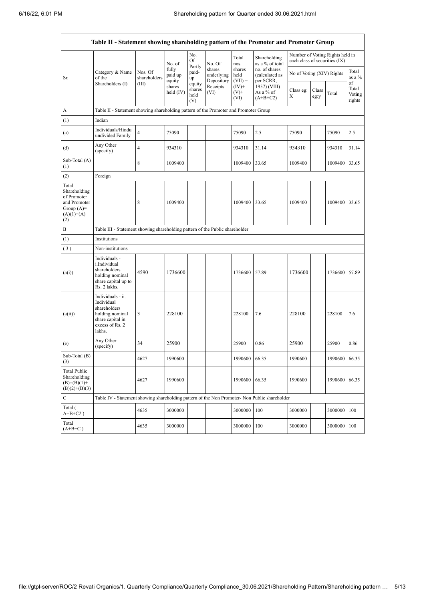|                                                                                             | Table II - Statement showing shareholding pattern of the Promoter and Promoter Group                                |                                                                              |                            |                                 |                                    |                             |                                              |                               |               |                                 |                           |
|---------------------------------------------------------------------------------------------|---------------------------------------------------------------------------------------------------------------------|------------------------------------------------------------------------------|----------------------------|---------------------------------|------------------------------------|-----------------------------|----------------------------------------------|-------------------------------|---------------|---------------------------------|---------------------------|
|                                                                                             |                                                                                                                     |                                                                              | No. of                     | No.<br>Of                       | No. Of                             | Total<br>nos.               | Shareholding<br>as a % of total              | each class of securities (IX) |               | Number of Voting Rights held in |                           |
| Sr.                                                                                         | Category & Name<br>of the                                                                                           | Nos. Of<br>shareholders                                                      | fully<br>paid up<br>equity | Partly<br>paid-<br>up           | shares<br>underlying<br>Depository | shares<br>held<br>$(VII) =$ | no. of shares<br>(calculated as<br>per SCRR, | No of Voting (XIV) Rights     |               |                                 | Total<br>as a %<br>of     |
|                                                                                             | Shareholders (I)                                                                                                    | (III)                                                                        | shares<br>held (IV)        | equity<br>shares<br>held<br>(V) | Receipts<br>(VI)                   | $(IV)^+$<br>$(V)$ +<br>(VI) | 1957) (VIII)<br>As a % of<br>$(A+B+C2)$      | Class eg:<br>Χ                | Class<br>eg:y | Total                           | Total<br>Voting<br>rights |
| A                                                                                           | Table II - Statement showing shareholding pattern of the Promoter and Promoter Group                                |                                                                              |                            |                                 |                                    |                             |                                              |                               |               |                                 |                           |
| (1)                                                                                         | Indian                                                                                                              |                                                                              |                            |                                 |                                    |                             |                                              |                               |               |                                 |                           |
| (a)                                                                                         | Individuals/Hindu<br>undivided Family                                                                               | 4                                                                            | 75090                      |                                 |                                    | 75090                       | 2.5                                          | 75090                         |               | 75090                           | 2.5                       |
| (d)                                                                                         | Any Other<br>(specify)                                                                                              | 4                                                                            | 934310                     |                                 |                                    | 934310                      | 31.14                                        | 934310                        |               | 934310                          | 31.14                     |
| Sub-Total (A)<br>(1)                                                                        |                                                                                                                     | 8                                                                            | 1009400                    |                                 |                                    | 1009400                     | 33.65                                        | 1009400                       |               | 1009400                         | 33.65                     |
| (2)                                                                                         | Foreign                                                                                                             |                                                                              |                            |                                 |                                    |                             |                                              |                               |               |                                 |                           |
| Total<br>Shareholding<br>of Promoter<br>and Promoter<br>Group $(A)=$<br>$(A)(1)+(A)$<br>(2) |                                                                                                                     | 8                                                                            | 1009400                    |                                 |                                    | 1009400                     | 33.65                                        | 1009400                       |               | 1009400 33.65                   |                           |
| B                                                                                           |                                                                                                                     | Table III - Statement showing shareholding pattern of the Public shareholder |                            |                                 |                                    |                             |                                              |                               |               |                                 |                           |
| (1)                                                                                         | Institutions                                                                                                        |                                                                              |                            |                                 |                                    |                             |                                              |                               |               |                                 |                           |
| (3)                                                                                         | Non-institutions                                                                                                    |                                                                              |                            |                                 |                                    |                             |                                              |                               |               |                                 |                           |
| (a(i))                                                                                      | Individuals -<br>i.Individual<br>shareholders<br>holding nominal<br>share capital up to<br>Rs. 2 lakhs.             | 4590                                                                         | 1736600                    |                                 |                                    | 1736600                     | 57.89                                        | 1736600                       |               | 1736600                         | 57.89                     |
| (a(ii))                                                                                     | Individuals - ii.<br>Individual<br>shareholders<br>holding nominal<br>share capital in<br>excess of Rs. 2<br>lakhs. | 3                                                                            | 228100                     |                                 |                                    | 228100                      | 7.6                                          | 228100                        |               | 228100                          | 7.6                       |
| (e)                                                                                         | Any Other<br>(specify)                                                                                              | 34                                                                           | 25900                      |                                 |                                    | 25900                       | 0.86                                         | 25900                         |               | 25900                           | 0.86                      |
| Sub-Total (B)<br>(3)                                                                        |                                                                                                                     | 4627                                                                         | 1990600                    |                                 |                                    | 1990600 66.35               |                                              | 1990600                       |               | 1990600 66.35                   |                           |
| <b>Total Public</b><br>Shareholding<br>$(B)=(B)(1)+$<br>$(B)(2)+(B)(3)$                     |                                                                                                                     | 4627                                                                         | 1990600                    |                                 |                                    | 1990600                     | 66.35                                        | 1990600                       |               | 1990600                         | 66.35                     |
| $\mathbf C$                                                                                 | Table IV - Statement showing shareholding pattern of the Non Promoter- Non Public shareholder                       |                                                                              |                            |                                 |                                    |                             |                                              |                               |               |                                 |                           |
| Total (<br>$A+B+C2$ )                                                                       |                                                                                                                     | 4635                                                                         | 3000000                    |                                 |                                    | 3000000                     | 100                                          | 3000000                       |               | 3000000                         | 100                       |
| Total<br>$(A+B+C)$                                                                          |                                                                                                                     | 4635                                                                         | 3000000                    |                                 |                                    | 3000000                     | 100                                          | 3000000                       |               | 3000000                         | 100                       |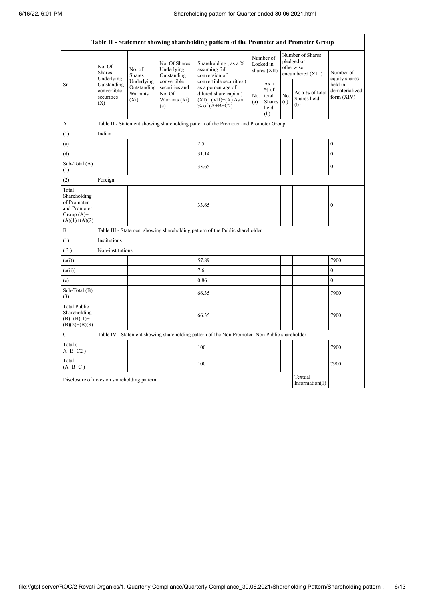|                                                                                         |                                                 |                                                                                      |                                                                 | Table II - Statement showing shareholding pattern of the Promoter and Promoter Group                                   |                                        |                                                            |                                                                  |                                       |                                           |
|-----------------------------------------------------------------------------------------|-------------------------------------------------|--------------------------------------------------------------------------------------|-----------------------------------------------------------------|------------------------------------------------------------------------------------------------------------------------|----------------------------------------|------------------------------------------------------------|------------------------------------------------------------------|---------------------------------------|-------------------------------------------|
|                                                                                         | No. Of<br><b>Shares</b><br>Underlying           | No. of<br>Shares                                                                     | No. Of Shares<br>Underlying<br>Outstanding                      | Shareholding, as a %<br>assuming full<br>conversion of                                                                 | Number of<br>Locked in<br>shares (XII) |                                                            | Number of Shares<br>pledged or<br>otherwise<br>encumbered (XIII) |                                       | Number of<br>equity shares                |
| Sr.                                                                                     | Outstanding<br>convertible<br>securities<br>(X) | Underlying<br>Outstanding<br>Warrants<br>$(X_i)$                                     | convertible<br>securities and<br>No. Of<br>Warrants (Xi)<br>(a) | convertible securities (<br>as a percentage of<br>diluted share capital)<br>$(XI) = (VII)+(X) As a$<br>% of $(A+B+C2)$ | No.<br>(a)                             | As $\mathbf a$<br>$%$ of<br>total<br>Shares<br>held<br>(b) | No.<br>(a)                                                       | As a % of total<br>Shares held<br>(b) | held in<br>dematerialized<br>form $(XIV)$ |
| А                                                                                       |                                                 | Table II - Statement showing shareholding pattern of the Promoter and Promoter Group |                                                                 |                                                                                                                        |                                        |                                                            |                                                                  |                                       |                                           |
| (1)                                                                                     | Indian                                          |                                                                                      |                                                                 |                                                                                                                        |                                        |                                                            |                                                                  |                                       |                                           |
| (a)                                                                                     |                                                 |                                                                                      |                                                                 | 2.5                                                                                                                    |                                        |                                                            |                                                                  |                                       | $\boldsymbol{0}$                          |
| (d)                                                                                     |                                                 |                                                                                      |                                                                 | 31.14                                                                                                                  |                                        |                                                            |                                                                  |                                       | $\overline{0}$                            |
| Sub-Total (A)<br>(1)                                                                    |                                                 |                                                                                      |                                                                 | 33.65                                                                                                                  |                                        |                                                            |                                                                  |                                       | $\mathbf{0}$                              |
| (2)                                                                                     | Foreign                                         |                                                                                      |                                                                 |                                                                                                                        |                                        |                                                            |                                                                  |                                       |                                           |
| Total<br>Shareholding<br>of Promoter<br>and Promoter<br>Group $(A)=$<br>$(A)(1)+(A)(2)$ |                                                 |                                                                                      |                                                                 | 33.65                                                                                                                  |                                        |                                                            |                                                                  |                                       | $\boldsymbol{0}$                          |
| $\, {\bf B}$                                                                            |                                                 |                                                                                      |                                                                 | Table III - Statement showing shareholding pattern of the Public shareholder                                           |                                        |                                                            |                                                                  |                                       |                                           |
| (1)                                                                                     | Institutions                                    |                                                                                      |                                                                 |                                                                                                                        |                                        |                                                            |                                                                  |                                       |                                           |
| (3)                                                                                     | Non-institutions                                |                                                                                      |                                                                 |                                                                                                                        |                                        |                                                            |                                                                  |                                       |                                           |
| (a(i))                                                                                  |                                                 |                                                                                      |                                                                 | 57.89                                                                                                                  |                                        |                                                            |                                                                  |                                       | 7900                                      |
| (a(ii))                                                                                 |                                                 |                                                                                      |                                                                 | 7.6                                                                                                                    |                                        |                                                            |                                                                  |                                       | $\mathbf{0}$                              |
| (e)                                                                                     |                                                 |                                                                                      |                                                                 | 0.86                                                                                                                   |                                        |                                                            |                                                                  |                                       | $\boldsymbol{0}$                          |
| Sub-Total (B)<br>(3)                                                                    |                                                 |                                                                                      |                                                                 | 66.35                                                                                                                  |                                        |                                                            |                                                                  |                                       | 7900                                      |
| <b>Total Public</b><br>Shareholding<br>$(B)=(B)(1)+$<br>$(B)(2)+(B)(3)$                 |                                                 |                                                                                      |                                                                 | 66.35                                                                                                                  |                                        |                                                            |                                                                  |                                       | 7900                                      |
| C                                                                                       |                                                 |                                                                                      |                                                                 | Table IV - Statement showing shareholding pattern of the Non Promoter- Non Public shareholder                          |                                        |                                                            |                                                                  |                                       |                                           |
| Total (<br>$A+B+C2$ )                                                                   |                                                 |                                                                                      |                                                                 | 100                                                                                                                    |                                        |                                                            |                                                                  |                                       | 7900                                      |
| Total<br>$(A+B+C)$                                                                      |                                                 |                                                                                      |                                                                 | 100                                                                                                                    |                                        |                                                            |                                                                  |                                       | 7900                                      |
| Disclosure of notes on shareholding pattern                                             |                                                 |                                                                                      |                                                                 |                                                                                                                        |                                        |                                                            |                                                                  | Textual<br>Information $(1)$          |                                           |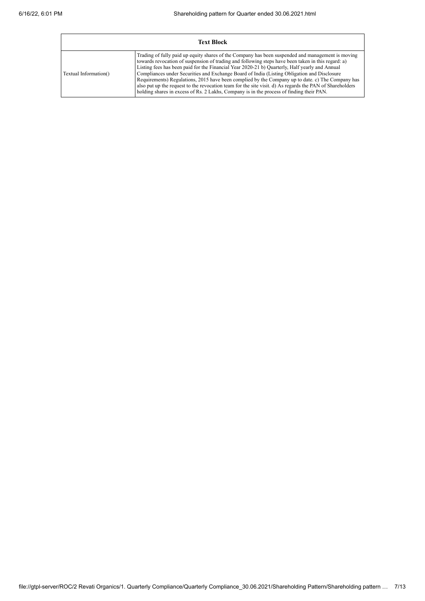|                       | <b>Text Block</b>                                                                                                                                                                                                                                                                                                                                                                                                                                                                                                                                                                                                                                                                                                    |
|-----------------------|----------------------------------------------------------------------------------------------------------------------------------------------------------------------------------------------------------------------------------------------------------------------------------------------------------------------------------------------------------------------------------------------------------------------------------------------------------------------------------------------------------------------------------------------------------------------------------------------------------------------------------------------------------------------------------------------------------------------|
| Textual Information() | Trading of fully paid up equity shares of the Company has been suspended and management is moving<br>towards revocation of suspension of trading and following steps have been taken in this regard: a)<br>Listing fees has been paid for the Financial Year 2020-21 b) Quarterly, Half yearly and Annual<br>Compliances under Securities and Exchange Board of India (Listing Obligation and Disclosure<br>Requirements) Regulations, 2015 have been complied by the Company up to date. c) The Company has<br>also put up the request to the revocation team for the site visit. d) As regards the PAN of Shareholders<br>holding shares in excess of Rs. 2 Lakhs, Company is in the process of finding their PAN. |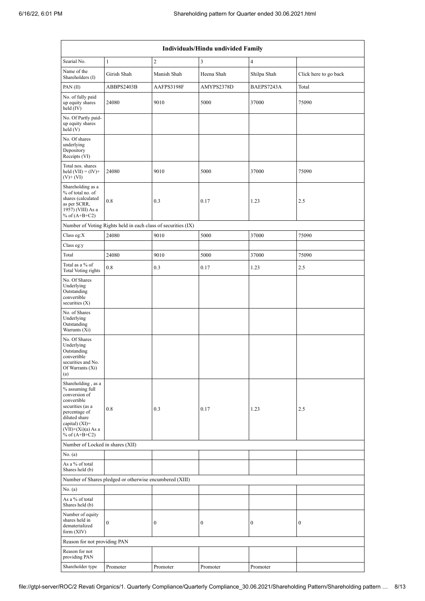|                                                                                                                                                                                             | Individuals/Hindu undivided Family                            |                  |                  |                  |                       |  |  |
|---------------------------------------------------------------------------------------------------------------------------------------------------------------------------------------------|---------------------------------------------------------------|------------------|------------------|------------------|-----------------------|--|--|
| Searial No.                                                                                                                                                                                 | $\mathbf{1}$                                                  | $\overline{2}$   | 3                | $\overline{4}$   |                       |  |  |
| Name of the<br>Shareholders (I)                                                                                                                                                             | Girish Shah                                                   | Manish Shah      | Heena Shah       | Shilpa Shah      | Click here to go back |  |  |
| PAN(II)                                                                                                                                                                                     | ABBPS2403B                                                    | AAFPS3198F       | AMYPS2378D       | BAEPS7243A       | Total                 |  |  |
| No. of fully paid<br>up equity shares<br>held (IV)                                                                                                                                          | 24080                                                         | 9010             | 5000             | 37000            | 75090                 |  |  |
| No. Of Partly paid-<br>up equity shares<br>held(V)                                                                                                                                          |                                                               |                  |                  |                  |                       |  |  |
| No. Of shares<br>underlying<br>Depository<br>Receipts (VI)                                                                                                                                  |                                                               |                  |                  |                  |                       |  |  |
| Total nos. shares<br>held $(VII) = (IV) +$<br>$(V)$ + $(VI)$                                                                                                                                | 24080                                                         | 9010             | 5000             | 37000            | 75090                 |  |  |
| Shareholding as a<br>% of total no. of<br>shares (calculated<br>as per SCRR,<br>1957) (VIII) As a<br>% of $(A+B+C2)$                                                                        | 0.8                                                           | 0.3              | 0.17             | 1.23             | 2.5                   |  |  |
|                                                                                                                                                                                             | Number of Voting Rights held in each class of securities (IX) |                  |                  |                  |                       |  |  |
| Class eg: $X$                                                                                                                                                                               | 24080                                                         | 9010             | 5000             | 37000            | 75090                 |  |  |
| Class eg:y                                                                                                                                                                                  |                                                               |                  |                  |                  |                       |  |  |
| Total                                                                                                                                                                                       | 24080                                                         | 9010             | 5000             | 37000            | 75090                 |  |  |
| Total as a % of<br>Total Voting rights                                                                                                                                                      | 0.8                                                           | 0.3              | 0.17             | 1.23             | 2.5                   |  |  |
| No. Of Shares<br>Underlying<br>Outstanding<br>convertible<br>securities $(X)$                                                                                                               |                                                               |                  |                  |                  |                       |  |  |
| No. of Shares<br>Underlying<br>Outstanding<br>Warrants (Xi)                                                                                                                                 |                                                               |                  |                  |                  |                       |  |  |
| No. Of Shares<br>Underlying<br>Outstanding<br>convertible<br>securities and No.<br>Of Warrants (Xi)<br>(a)                                                                                  |                                                               |                  |                  |                  |                       |  |  |
| Shareholding, as a<br>% assuming full<br>conversion of<br>convertible<br>securities (as a<br>percentage of<br>diluted share<br>capital) $(XI)$ =<br>$(VII)+(Xi)(a)$ As a<br>% of $(A+B+C2)$ | 0.8                                                           | 0.3              | 0.17             | 1.23             | 2.5                   |  |  |
| Number of Locked in shares (XII)                                                                                                                                                            |                                                               |                  |                  |                  |                       |  |  |
| No. (a)                                                                                                                                                                                     |                                                               |                  |                  |                  |                       |  |  |
| As a % of total<br>Shares held (b)                                                                                                                                                          |                                                               |                  |                  |                  |                       |  |  |
|                                                                                                                                                                                             | Number of Shares pledged or otherwise encumbered (XIII)       |                  |                  |                  |                       |  |  |
| No. (a)                                                                                                                                                                                     |                                                               |                  |                  |                  |                       |  |  |
| As a % of total<br>Shares held (b)                                                                                                                                                          |                                                               |                  |                  |                  |                       |  |  |
| Number of equity<br>shares held in<br>dematerialized<br>form $(XIV)$                                                                                                                        | $\mathbf{0}$                                                  | $\boldsymbol{0}$ | $\boldsymbol{0}$ | $\boldsymbol{0}$ | $\boldsymbol{0}$      |  |  |
| Reason for not providing PAN                                                                                                                                                                |                                                               |                  |                  |                  |                       |  |  |
| Reason for not<br>providing PAN                                                                                                                                                             |                                                               |                  |                  |                  |                       |  |  |
| Shareholder type                                                                                                                                                                            | Promoter                                                      | Promoter         | Promoter         | Promoter         |                       |  |  |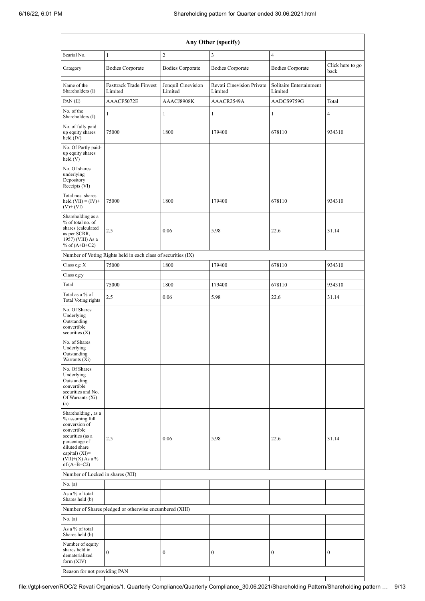|                                                                                                                                                                                        | Any Other (specify)                                     |                               |                                      |                                    |                          |  |  |
|----------------------------------------------------------------------------------------------------------------------------------------------------------------------------------------|---------------------------------------------------------|-------------------------------|--------------------------------------|------------------------------------|--------------------------|--|--|
| Searial No.                                                                                                                                                                            | $\mathbf{1}$                                            | $\boldsymbol{2}$              | $\overline{\mathbf{3}}$              | $\overline{4}$                     |                          |  |  |
| Category                                                                                                                                                                               | <b>Bodies Corporate</b>                                 | <b>Bodies Corporate</b>       | <b>Bodies Corporate</b>              | <b>Bodies Corporate</b>            | Click here to go<br>back |  |  |
| Name of the<br>Shareholders (I)                                                                                                                                                        | Fasttrack Trade Finvest<br>Limited                      | Jonquil Cinevision<br>Limited | Revati Cinevision Private<br>Limited | Solitaire Entertainment<br>Limited |                          |  |  |
| PAN(II)                                                                                                                                                                                | AAACF5072E                                              | AAACJ8908K                    | AAACR2549A                           | AADCS9759G                         | Total                    |  |  |
| No. of the<br>Shareholders (I)                                                                                                                                                         | 1                                                       | 1                             | 1                                    | 1                                  | $\overline{4}$           |  |  |
| No. of fully paid<br>up equity shares<br>held $(IV)$                                                                                                                                   | 75000                                                   | 1800                          | 179400                               | 678110                             | 934310                   |  |  |
| No. Of Partly paid-<br>up equity shares<br>held(V)                                                                                                                                     |                                                         |                               |                                      |                                    |                          |  |  |
| No. Of shares<br>underlying<br>Depository<br>Receipts (VI)                                                                                                                             |                                                         |                               |                                      |                                    |                          |  |  |
| Total nos. shares<br>held $(VII) = (IV) +$<br>$(V)$ + $(VI)$                                                                                                                           | 75000                                                   | 1800                          | 179400                               | 678110                             | 934310                   |  |  |
| Shareholding as a<br>% of total no. of<br>shares (calculated<br>as per SCRR,<br>1957) (VIII) As a<br>% of $(A+B+C2)$                                                                   | 2.5                                                     | 0.06                          | 5.98                                 | 22.6                               | 31.14                    |  |  |
| Number of Voting Rights held in each class of securities (IX)                                                                                                                          |                                                         |                               |                                      |                                    |                          |  |  |
| Class eg: X                                                                                                                                                                            | 75000                                                   | 1800                          | 179400                               | 678110                             | 934310                   |  |  |
| Class eg:y                                                                                                                                                                             |                                                         |                               |                                      |                                    |                          |  |  |
| Total                                                                                                                                                                                  | 75000                                                   | 1800                          | 179400                               | 678110                             | 934310                   |  |  |
| Total as a % of<br>Total Voting rights                                                                                                                                                 | 2.5                                                     | 0.06                          | 5.98                                 | 22.6                               | 31.14                    |  |  |
| No. Of Shares<br>Underlying<br>Outstanding<br>convertible<br>securities $(X)$                                                                                                          |                                                         |                               |                                      |                                    |                          |  |  |
| No. of Shares<br>Underlying<br>Outstanding<br>Warrants (Xi)                                                                                                                            |                                                         |                               |                                      |                                    |                          |  |  |
| No. Of Shares<br>Underlying<br>Outstanding<br>convertible<br>securities and No.<br>Of Warrants (Xi)<br>(a)                                                                             |                                                         |                               |                                      |                                    |                          |  |  |
| Shareholding, as a<br>% assuming full<br>conversion of<br>convertible<br>securities (as a<br>percentage of<br>diluted share<br>capital) $(XI)=$<br>$(VII)+(X)$ As a %<br>of $(A+B+C2)$ | 2.5                                                     | 0.06                          | 5.98                                 | 22.6                               | 31.14                    |  |  |
| Number of Locked in shares (XII)                                                                                                                                                       |                                                         |                               |                                      |                                    |                          |  |  |
| No. (a)                                                                                                                                                                                |                                                         |                               |                                      |                                    |                          |  |  |
| As a % of total<br>Shares held (b)                                                                                                                                                     |                                                         |                               |                                      |                                    |                          |  |  |
|                                                                                                                                                                                        | Number of Shares pledged or otherwise encumbered (XIII) |                               |                                      |                                    |                          |  |  |
| No. (a)                                                                                                                                                                                |                                                         |                               |                                      |                                    |                          |  |  |
| As a % of total<br>Shares held (b)                                                                                                                                                     |                                                         |                               |                                      |                                    |                          |  |  |
| Number of equity<br>shares held in<br>dematerialized<br>form $(XIV)$                                                                                                                   | $\bf{0}$                                                | 0                             | $\boldsymbol{0}$                     | $\boldsymbol{0}$                   | $\bf{0}$                 |  |  |
| Reason for not providing PAN                                                                                                                                                           |                                                         |                               |                                      |                                    |                          |  |  |

file://gtpl-server/ROC/2 Revati Organics/1. Quarterly Compliance/Quarterly Compliance\_30.06.2021/Shareholding Pattern/Shareholding pattern … 9/13

ı

 $\mathbf{I}$ 

 $\overline{\phantom{a}}$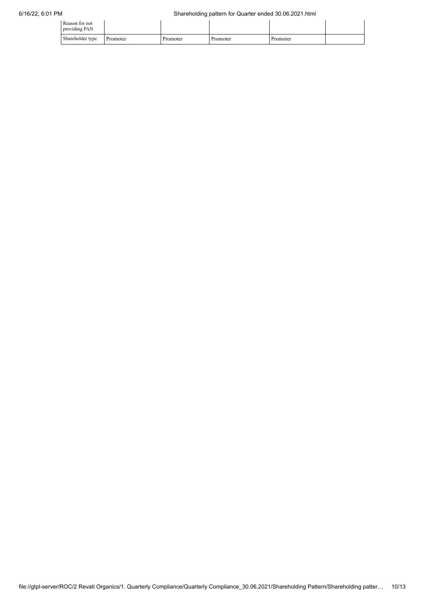| Reason for not<br>providing PAN |          |          |          |          |  |
|---------------------------------|----------|----------|----------|----------|--|
| Shareholder type                | Promoter | Promoter | Promoter | Promoter |  |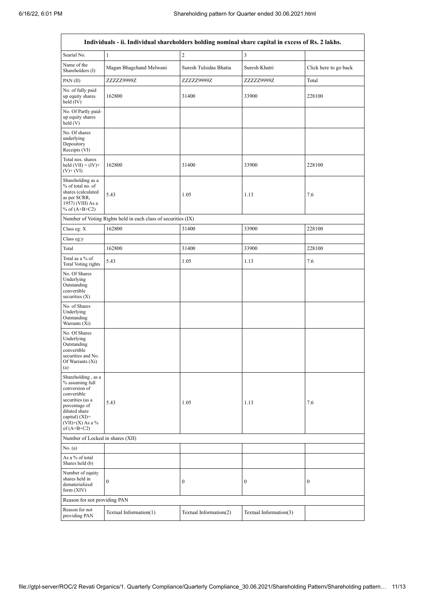r

 $\overline{\phantom{0}}$ 

|                                                                                                                                                                                        | Individuals - ii. Individual shareholders holding nominal share capital in excess of Rs. 2 lakhs. |                        |                        |                       |  |  |
|----------------------------------------------------------------------------------------------------------------------------------------------------------------------------------------|---------------------------------------------------------------------------------------------------|------------------------|------------------------|-----------------------|--|--|
| Searial No.                                                                                                                                                                            | $\mathbf{1}$                                                                                      | $\sqrt{2}$             | 3                      |                       |  |  |
| Name of the<br>Shareholders (I)                                                                                                                                                        | Magan Bhagchand Melwani                                                                           | Suresh Tulsidas Bhatia | Suresh Khatri          | Click here to go back |  |  |
| PAN(II)                                                                                                                                                                                | ZZZZZ9999Z                                                                                        | ZZZZZ9999Z             | ZZZZZ9999Z             | Total                 |  |  |
| No. of fully paid<br>up equity shares<br>held $(IV)$                                                                                                                                   | 162800                                                                                            | 31400                  | 33900                  | 228100                |  |  |
| No. Of Partly paid-<br>up equity shares<br>held(V)                                                                                                                                     |                                                                                                   |                        |                        |                       |  |  |
| No. Of shares<br>underlying<br>Depository<br>Receipts (VI)                                                                                                                             |                                                                                                   |                        |                        |                       |  |  |
| Total nos. shares<br>held $(VII) = (IV) +$<br>$(V)$ + $(VI)$                                                                                                                           | 162800                                                                                            | 31400                  | 33900                  | 228100                |  |  |
| Shareholding as a<br>% of total no. of<br>shares (calculated<br>as per SCRR,<br>1957) (VIII) As a<br>% of $(A+B+C2)$                                                                   | 5.43                                                                                              | 1.05                   | 1.13                   | 7.6                   |  |  |
|                                                                                                                                                                                        | Number of Voting Rights held in each class of securities (IX)                                     |                        |                        |                       |  |  |
| Class eg: X                                                                                                                                                                            | 162800                                                                                            | 31400                  | 33900                  | 228100                |  |  |
| Class eg:y                                                                                                                                                                             |                                                                                                   |                        |                        |                       |  |  |
| Total                                                                                                                                                                                  | 162800                                                                                            | 31400                  | 33900                  | 228100                |  |  |
| Total as a % of<br>Total Voting rights                                                                                                                                                 | 5.43                                                                                              | 1.05                   | 1.13                   | 7.6                   |  |  |
| No. Of Shares<br>Underlying<br>Outstanding<br>convertible<br>securities $(X)$                                                                                                          |                                                                                                   |                        |                        |                       |  |  |
| No. of Shares<br>Underlying<br>Outstanding<br>Warrants (Xi)                                                                                                                            |                                                                                                   |                        |                        |                       |  |  |
| No. Of Shares<br>Underlying<br>Outstanding<br>convertible<br>securities and No.<br>Of Warrants (Xi)<br>(a)                                                                             |                                                                                                   |                        |                        |                       |  |  |
| Shareholding, as a<br>% assuming full<br>conversion of<br>convertible<br>securities (as a<br>percentage of<br>diluted share<br>capital) $(XI)=$<br>$(VII)+(X)$ As a %<br>of $(A+B+C2)$ | 5.43                                                                                              | 1.05                   | 1.13                   | 7.6                   |  |  |
|                                                                                                                                                                                        | Number of Locked in shares (XII)                                                                  |                        |                        |                       |  |  |
| No. (a)                                                                                                                                                                                |                                                                                                   |                        |                        |                       |  |  |
| As a % of total<br>Shares held (b)                                                                                                                                                     |                                                                                                   |                        |                        |                       |  |  |
| Number of equity<br>shares held in<br>dematerialized<br>form $(XIV)$                                                                                                                   | $\mathbf{0}$                                                                                      | $\boldsymbol{0}$       | $\boldsymbol{0}$       | $\boldsymbol{0}$      |  |  |
| Reason for not providing PAN                                                                                                                                                           |                                                                                                   |                        |                        |                       |  |  |
| Reason for not<br>providing PAN                                                                                                                                                        | Textual Information(1)                                                                            | Textual Information(2) | Textual Information(3) |                       |  |  |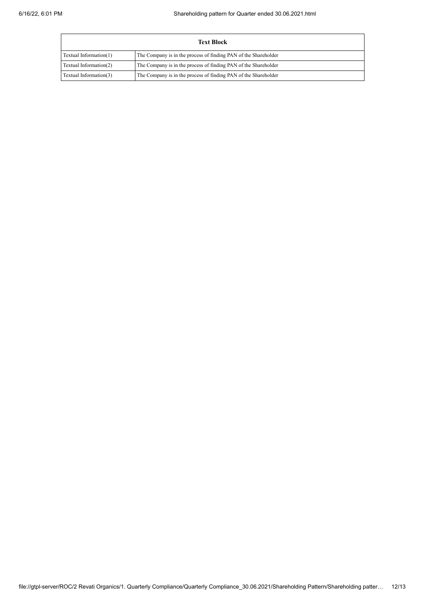|                                                                                           | <b>Text Block</b>                                               |  |  |  |  |  |
|-------------------------------------------------------------------------------------------|-----------------------------------------------------------------|--|--|--|--|--|
| Textual Information(1)                                                                    | The Company is in the process of finding PAN of the Shareholder |  |  |  |  |  |
| The Company is in the process of finding PAN of the Shareholder<br>Textual Information(2) |                                                                 |  |  |  |  |  |
| Textual Information(3)                                                                    | The Company is in the process of finding PAN of the Shareholder |  |  |  |  |  |